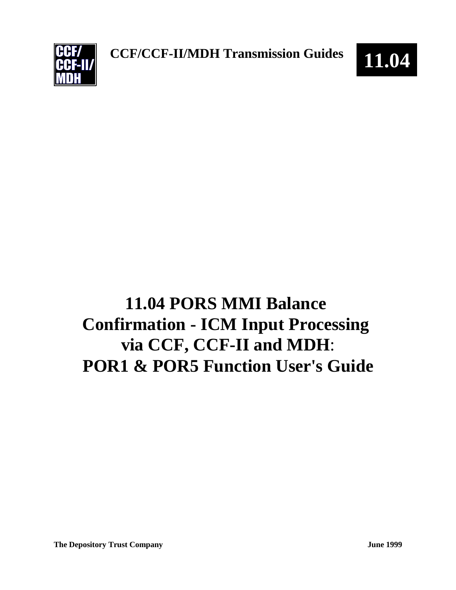

# **11.04 PORS MMI Balance Confirmation - ICM Input Processing via CCF, CCF-II and MDH**: **POR1 & POR5 Function User's Guide**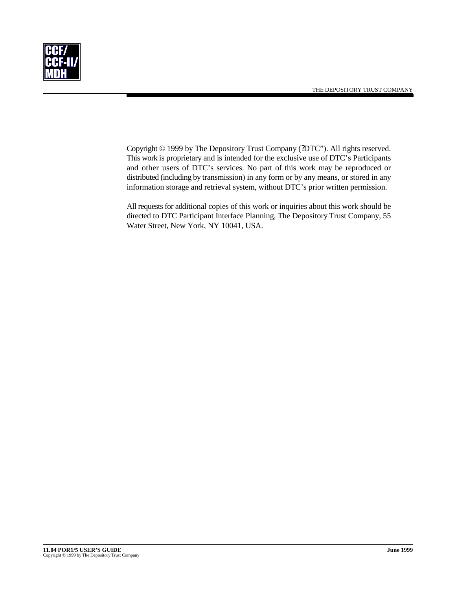

Copyright © 1999 by The Depository Trust Company (?DTC"). All rights reserved. This work is proprietary and is intended for the exclusive use of DTC's Participants and other users of DTC's services. No part of this work may be reproduced or distributed (including by transmission) in any form or by any means, or stored in any information storage and retrieval system, without DTC's prior written permission.

All requests for additional copies of this work or inquiries about this work should be directed to DTC Participant Interface Planning, The Depository Trust Company, 55 Water Street, New York, NY 10041, USA.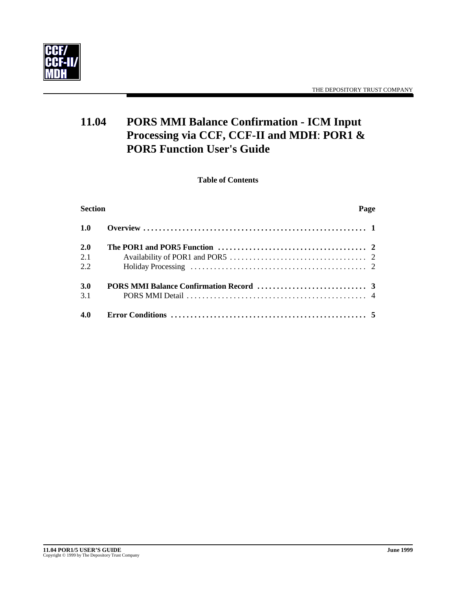

## **11.04 PORS MMI Balance Confirmation - ICM Input Processing via CCF, CCF-II and MDH**: **POR1 & POR5 Function User's Guide**

**Table of Contents**

| <b>Section</b>    | Page |  |
|-------------------|------|--|
| <b>1.0</b>        |      |  |
| 2.0<br>2.1<br>2.2 |      |  |
| <b>3.0</b><br>3.1 |      |  |
| 4.0               |      |  |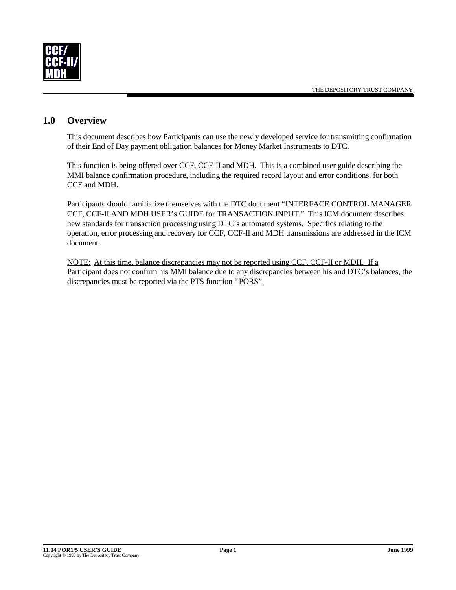

#### **1.0 Overview**

This document describes how Participants can use the newly developed service for transmitting confirmation of their End of Day payment obligation balances for Money Market Instruments to DTC.

This function is being offered over CCF, CCF-II and MDH. This is a combined user guide describing the MMI balance confirmation procedure, including the required record layout and error conditions, for both CCF and MDH.

Participants should familiarize themselves with the DTC document "INTERFACE CONTROL MANAGER CCF, CCF-II AND MDH USER's GUIDE for TRANSACTION INPUT." This ICM document describes new standards for transaction processing using DTC's automated systems. Specifics relating to the operation, error processing and recovery for CCF, CCF-II and MDH transmissions are addressed in the ICM document.

NOTE: At this time, balance discrepancies may not be reported using CCF, CCF-II or MDH. If a Participant does not confirm his MMI balance due to any discrepancies between his and DTC's balances, the discrepancies must be reported via the PTS function "PORS".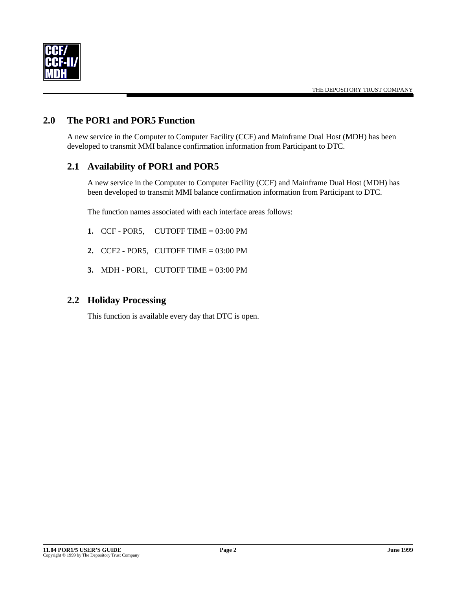

### **2.0 The POR1 and POR5 Function**

A new service in the Computer to Computer Facility (CCF) and Mainframe Dual Host (MDH) has been developed to transmit MMI balance confirmation information from Participant to DTC.

#### **2.1 Availability of POR1 and POR5**

A new service in the Computer to Computer Facility (CCF) and Mainframe Dual Host (MDH) has been developed to transmit MMI balance confirmation information from Participant to DTC.

The function names associated with each interface areas follows:

- **1.** CCF POR5, CUTOFF TIME = 03:00 PM
- **2.** CCF2 POR5, CUTOFF TIME = 03:00 PM
- **3.** MDH POR1, CUTOFF TIME = 03:00 PM

#### **2.2 Holiday Processing**

This function is available every day that DTC is open.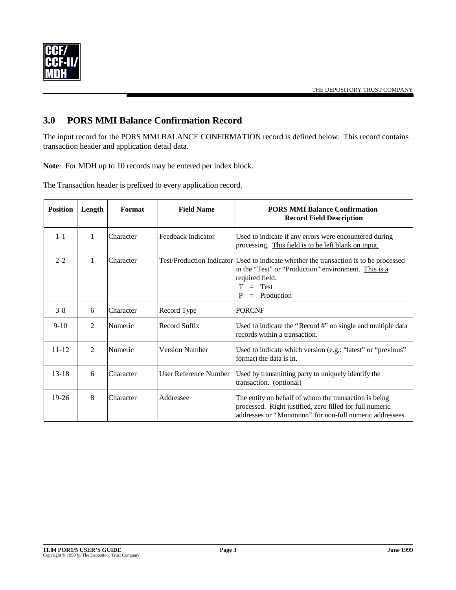

## **3.0 PORS MMI Balance Confirmation Record**

The input record for the PORS MMI BALANCE CONFIRMATION record is defined below. This record contains transaction header and application detail data.

**Note**: For MDH up to 10 records may be entered per index block.

The Transaction header is prefixed to every application record.

| <b>Position</b> | Length         | Format    | <b>Field Name</b>     | <b>PORS MMI Balance Confirmation</b><br><b>Record Field Description</b>                                                                                                                                   |
|-----------------|----------------|-----------|-----------------------|-----------------------------------------------------------------------------------------------------------------------------------------------------------------------------------------------------------|
| $1 - 1$         | 1              | Character | Feedback Indicator    | Used to indicate if any errors were encountered during<br>processing. This field is to be left blank on input.                                                                                            |
| $2 - 2$         | 1              | Character |                       | Test/Production Indicator Used to indicate whether the transaction is to be processed<br>in the "Test" or "Production" environment. This is a<br>required field.<br>$=$ Test<br>T.<br>$=$ Production<br>P |
| $3 - 8$         | 6              | Character | Record Type           | <b>PORCNF</b>                                                                                                                                                                                             |
| $9-10$          | $\mathfrak{D}$ | Numeric   | Record Suffix         | Used to indicate the "Record #" on single and multiple data<br>records within a transaction.                                                                                                              |
| $11 - 12$       | $\mathfrak{D}$ | Numeric   | <b>Version Number</b> | Used to indicate which version (e.g.: "latest" or "previous"<br>format) the data is in.                                                                                                                   |
| $13 - 18$       | 6              | Character | User Reference Number | Used by transmitting party to uniquely identify the<br>transaction. (optional)                                                                                                                            |
| $19-26$         | 8              | Character | Addressee             | The entity on behalf of whom the transaction is being<br>processed. Right justified, zero filled for full numeric<br>addresses or "Mnnnnnnn" for non-full numeric addressees.                             |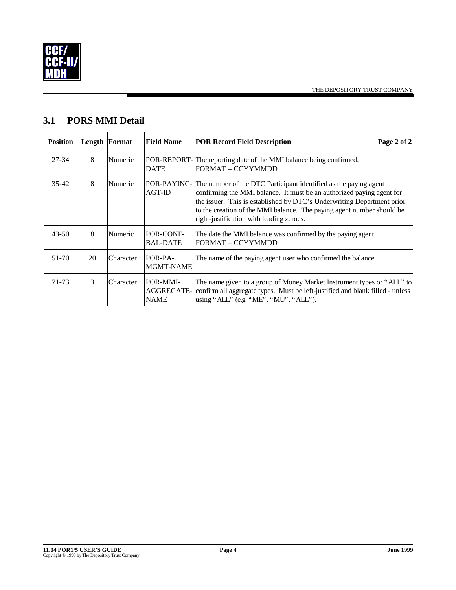

## **3.1 PORS MMI Detail**

| <b>Position</b> |    | Length Format | <b>Field Name</b>                     | Page 2 of 2<br><b>POR Record Field Description</b>                                                                                                                                                                                                                                                                                                   |  |
|-----------------|----|---------------|---------------------------------------|------------------------------------------------------------------------------------------------------------------------------------------------------------------------------------------------------------------------------------------------------------------------------------------------------------------------------------------------------|--|
| 27-34           | 8  | Numeric       | <b>POR-REPORT-1</b><br><b>DATE</b>    | The reporting date of the MMI balance being confirmed.<br>$FORMAT = CCYYMMDD$                                                                                                                                                                                                                                                                        |  |
| $35 - 42$       | 8  | Numeric       | $AGT$ -ID                             | POR-PAYING- The number of the DTC Participant identified as the paying agent<br>confirming the MMI balance. It must be an authorized paying agent for<br>the issuer. This is established by DTC's Underwriting Department prior<br>to the creation of the MMI balance. The paying agent number should be<br>right-justification with leading zeroes. |  |
| 43-50           | 8  | Numeric       | POR-CONF-<br><b>BAL-DATE</b>          | The date the MMI balance was confirmed by the paying agent.<br>$FORMAT = CCYYMMDD$                                                                                                                                                                                                                                                                   |  |
| 51-70           | 20 | Character     | POR-PA-<br><b>MGMT-NAME</b>           | The name of the paying agent user who confirmed the balance.                                                                                                                                                                                                                                                                                         |  |
| 71-73           | 3  | Character     | POR-MMI-<br>AGGREGATE-<br><b>NAME</b> | The name given to a group of Money Market Instrument types or "ALL" to<br>confirm all aggregate types. Must be left-justified and blank filled - unless<br>using "ALL" (e.g. "ME", "MU", "ALL").                                                                                                                                                     |  |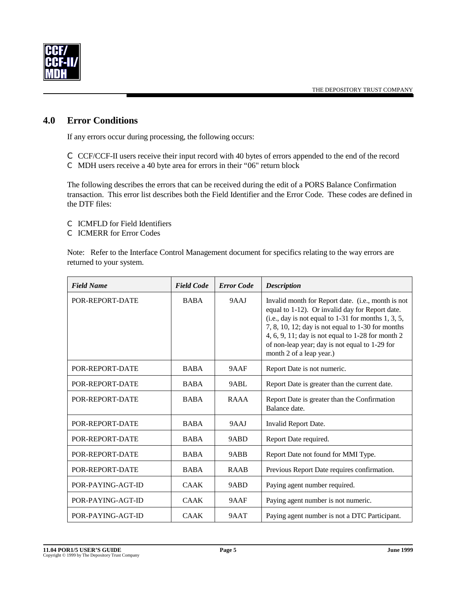

### **4.0 Error Conditions**

If any errors occur during processing, the following occurs:

- C CCF/CCF-II users receive their input record with 40 bytes of errors appended to the end of the record
- C MDH users receive a 40 byte area for errors in their "06" return block

The following describes the errors that can be received during the edit of a PORS Balance Confirmation transaction. This error list describes both the Field Identifier and the Error Code. These codes are defined in the DTF files:

- C ICMFLD for Field Identifiers
- C ICMERR for Error Codes

Note: Refer to the Interface Control Management document for specifics relating to the way errors are returned to your system.

| <b>Field Name</b> | <b>Field Code</b> | <b>Error</b> Code | <b>Description</b>                                                                                                                                                                                                                                                                                                                                            |
|-------------------|-------------------|-------------------|---------------------------------------------------------------------------------------------------------------------------------------------------------------------------------------------------------------------------------------------------------------------------------------------------------------------------------------------------------------|
| POR-REPORT-DATE   | <b>BABA</b>       | 9AAJ              | Invalid month for Report date. (i.e., month is not<br>equal to 1-12). Or invalid day for Report date.<br>(i.e., day is not equal to $1-31$ for months $1, 3, 5$ ,<br>7, 8, 10, 12; day is not equal to $1-30$ for months<br>4, 6, 9, 11; day is not equal to $1-28$ for month 2<br>of non-leap year; day is not equal to 1-29 for<br>month 2 of a leap year.) |
| POR-REPORT-DATE   | <b>BABA</b>       | 9AAF              | Report Date is not numeric.                                                                                                                                                                                                                                                                                                                                   |
| POR-REPORT-DATE   | <b>BABA</b>       | 9ABL              | Report Date is greater than the current date.                                                                                                                                                                                                                                                                                                                 |
| POR-REPORT-DATE   | <b>BABA</b>       | <b>RAAA</b>       | Report Date is greater than the Confirmation<br>Balance date.                                                                                                                                                                                                                                                                                                 |
| POR-REPORT-DATE   | <b>BABA</b>       | 9AAJ              | Invalid Report Date.                                                                                                                                                                                                                                                                                                                                          |
| POR-REPORT-DATE   | <b>BABA</b>       | 9ABD              | Report Date required.                                                                                                                                                                                                                                                                                                                                         |
| POR-REPORT-DATE   | <b>BABA</b>       | 9ABB              | Report Date not found for MMI Type.                                                                                                                                                                                                                                                                                                                           |
| POR-REPORT-DATE   | <b>BABA</b>       | <b>RAAB</b>       | Previous Report Date requires confirmation.                                                                                                                                                                                                                                                                                                                   |
| POR-PAYING-AGT-ID | <b>CAAK</b>       | 9ABD              | Paying agent number required.                                                                                                                                                                                                                                                                                                                                 |
| POR-PAYING-AGT-ID | <b>CAAK</b>       | 9AAF              | Paying agent number is not numeric.                                                                                                                                                                                                                                                                                                                           |
| POR-PAYING-AGT-ID | <b>CAAK</b>       | 9AAT              | Paying agent number is not a DTC Participant.                                                                                                                                                                                                                                                                                                                 |